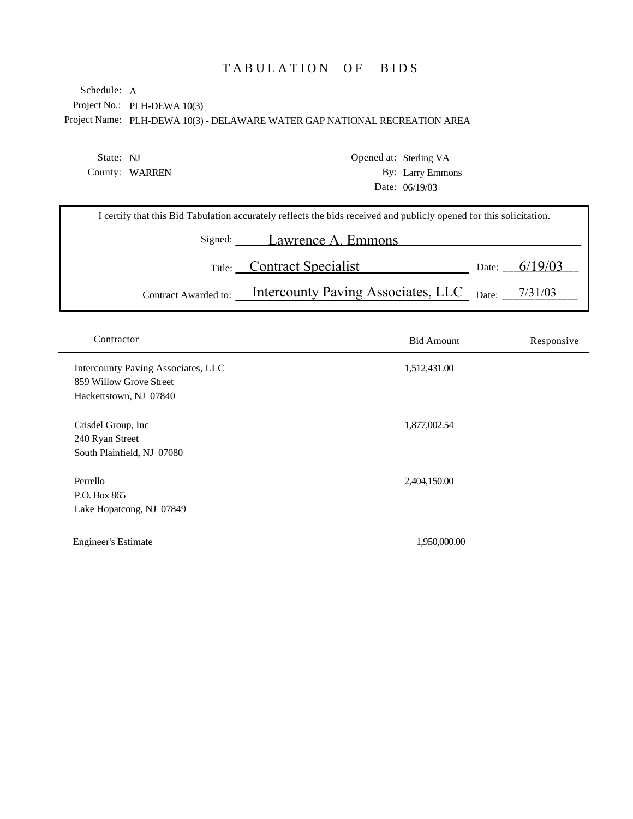## TABULATION OF BIDS

Project No.: PLH-DEWA 10(3) Project Name: PLH-DEWA 10(3) - DELAWARE WATER GAP NATIONAL RECREATION AREA Schedule: A

State: NJ County: WARREN Opened at: Sterling VA By: Larry Emmons Date: 06/19/03

| I certify that this Bid Tabulation accurately reflects the bids received and publicly opened for this solicitation. |                                                             |  |                 |  |  |
|---------------------------------------------------------------------------------------------------------------------|-------------------------------------------------------------|--|-----------------|--|--|
|                                                                                                                     | Signed: Lawrence A. Emmons                                  |  |                 |  |  |
|                                                                                                                     | Title: Contract Specialist                                  |  | Date: $6/19/03$ |  |  |
| Contract Awarded to:                                                                                                | Intercounty Paving Associates, LLC <sub>Date:</sub> 7/31/03 |  |                 |  |  |

| Contractor                                                                              | <b>Bid Amount</b> | Responsive |
|-----------------------------------------------------------------------------------------|-------------------|------------|
| Intercounty Paving Associates, LLC<br>859 Willow Grove Street<br>Hackettstown, NJ 07840 | 1,512,431.00      |            |
| Crisdel Group, Inc.<br>240 Ryan Street<br>South Plainfield, NJ 07080                    | 1,877,002.54      |            |
| Perrello<br>P.O. Box 865<br>Lake Hopatcong, NJ 07849                                    | 2,404,150.00      |            |
| <b>Engineer's Estimate</b>                                                              | 1,950,000.00      |            |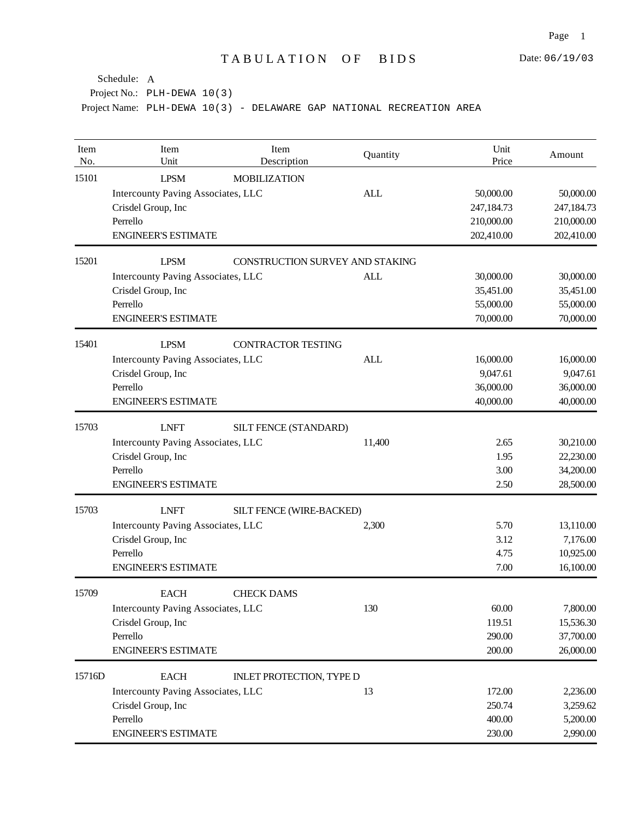| Item<br>No. | Item<br>Unit                       | Item<br>Description             | Quantity   | Unit<br>Price | Amount     |
|-------------|------------------------------------|---------------------------------|------------|---------------|------------|
| 15101       | <b>LPSM</b>                        | <b>MOBILIZATION</b>             |            |               |            |
|             | Intercounty Paving Associates, LLC |                                 | <b>ALL</b> | 50,000.00     | 50,000.00  |
|             | Crisdel Group, Inc                 |                                 |            | 247,184.73    | 247,184.73 |
|             | Perrello                           |                                 |            | 210,000.00    | 210,000.00 |
|             | <b>ENGINEER'S ESTIMATE</b>         |                                 |            | 202,410.00    | 202,410.00 |
| 15201       | <b>LPSM</b>                        | CONSTRUCTION SURVEY AND STAKING |            |               |            |
|             | Intercounty Paving Associates, LLC |                                 | <b>ALL</b> | 30,000.00     | 30,000.00  |
|             | Crisdel Group, Inc                 |                                 |            | 35,451.00     | 35,451.00  |
|             | Perrello                           |                                 |            | 55,000.00     | 55,000.00  |
|             | <b>ENGINEER'S ESTIMATE</b>         |                                 |            | 70,000.00     | 70,000.00  |
| 15401       | <b>LPSM</b>                        | <b>CONTRACTOR TESTING</b>       |            |               |            |
|             | Intercounty Paving Associates, LLC |                                 | <b>ALL</b> | 16,000.00     | 16,000.00  |
|             | Crisdel Group, Inc                 |                                 |            | 9,047.61      | 9,047.61   |
|             | Perrello                           |                                 |            | 36,000.00     | 36,000.00  |
|             | <b>ENGINEER'S ESTIMATE</b>         |                                 |            | 40,000.00     | 40,000.00  |
| 15703       | <b>LNFT</b>                        | SILT FENCE (STANDARD)           |            |               |            |
|             | Intercounty Paving Associates, LLC |                                 | 11,400     | 2.65          | 30,210.00  |
|             | Crisdel Group, Inc                 |                                 |            | 1.95          | 22,230.00  |
|             | Perrello                           |                                 |            | 3.00          | 34,200.00  |
|             | <b>ENGINEER'S ESTIMATE</b>         |                                 |            | 2.50          | 28,500.00  |
| 15703       | <b>LNFT</b>                        | SILT FENCE (WIRE-BACKED)        |            |               |            |
|             | Intercounty Paving Associates, LLC |                                 | 2,300      | 5.70          | 13,110.00  |
|             | Crisdel Group, Inc                 |                                 |            | 3.12          | 7,176.00   |
|             | Perrello                           |                                 |            | 4.75          | 10,925.00  |
|             | <b>ENGINEER'S ESTIMATE</b>         |                                 |            | 7.00          | 16,100.00  |
| 15709       | <b>EACH</b>                        | <b>CHECK DAMS</b>               |            |               |            |
|             | Intercounty Paving Associates, LLC |                                 | 130        | 60.00         | 7,800.00   |
|             | Crisdel Group, Inc                 |                                 |            | 119.51        | 15,536.30  |
|             | Perrello                           |                                 |            | 290.00        | 37,700.00  |
|             | <b>ENGINEER'S ESTIMATE</b>         |                                 |            | 200.00        | 26,000.00  |
| 15716D      | <b>EACH</b>                        | <b>INLET PROTECTION, TYPE D</b> |            |               |            |
|             | Intercounty Paving Associates, LLC |                                 | 13         | 172.00        | 2,236.00   |
|             | Crisdel Group, Inc                 |                                 |            | 250.74        | 3,259.62   |
|             | Perrello                           |                                 |            | 400.00        | 5,200.00   |
|             | <b>ENGINEER'S ESTIMATE</b>         |                                 |            | 230.00        | 2,990.00   |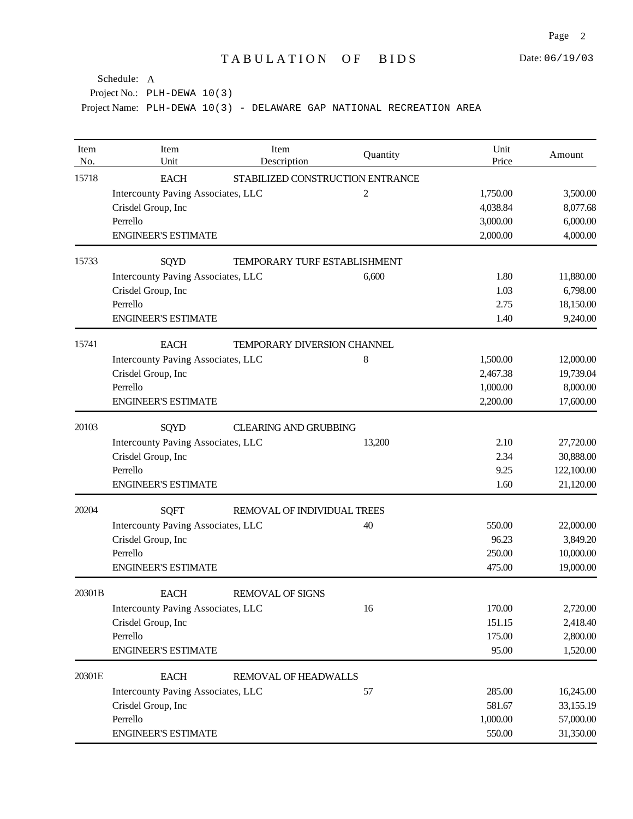| Item<br>No. | Item<br>Unit                              | Item<br>Description                | Quantity | Unit<br>Price | Amount     |
|-------------|-------------------------------------------|------------------------------------|----------|---------------|------------|
| 15718       | <b>EACH</b>                               | STABILIZED CONSTRUCTION ENTRANCE   |          |               |            |
|             | <b>Intercounty Paving Associates, LLC</b> |                                    | 2        | 1,750.00      | 3,500.00   |
|             | Crisdel Group, Inc                        |                                    |          | 4,038.84      | 8,077.68   |
|             | Perrello                                  |                                    |          | 3,000.00      | 6,000.00   |
|             | <b>ENGINEER'S ESTIMATE</b>                |                                    |          | 2,000.00      | 4,000.00   |
| 15733       | <b>SQYD</b>                               | TEMPORARY TURF ESTABLISHMENT       |          |               |            |
|             | Intercounty Paving Associates, LLC        |                                    | 6,600    | 1.80          | 11,880.00  |
|             | Crisdel Group, Inc                        |                                    |          | 1.03          | 6,798.00   |
|             | Perrello                                  |                                    |          | 2.75          | 18,150.00  |
|             | <b>ENGINEER'S ESTIMATE</b>                |                                    |          | 1.40          | 9,240.00   |
| 15741       | <b>EACH</b>                               | <b>TEMPORARY DIVERSION CHANNEL</b> |          |               |            |
|             | Intercounty Paving Associates, LLC        |                                    | 8        | 1,500.00      | 12,000.00  |
|             | Crisdel Group, Inc                        |                                    |          | 2,467.38      | 19,739.04  |
|             | Perrello                                  |                                    |          | 1,000.00      | 8,000.00   |
|             | <b>ENGINEER'S ESTIMATE</b>                |                                    |          | 2,200.00      | 17,600.00  |
| 20103       | SQYD                                      | <b>CLEARING AND GRUBBING</b>       |          |               |            |
|             | Intercounty Paving Associates, LLC        |                                    | 13,200   | 2.10          | 27,720.00  |
|             | Crisdel Group, Inc                        |                                    |          | 2.34          | 30,888.00  |
|             | Perrello                                  |                                    |          | 9.25          | 122,100.00 |
|             | <b>ENGINEER'S ESTIMATE</b>                |                                    |          | 1.60          | 21,120.00  |
| 20204       | <b>SQFT</b>                               | REMOVAL OF INDIVIDUAL TREES        |          |               |            |
|             | Intercounty Paving Associates, LLC        |                                    | 40       | 550.00        | 22,000.00  |
|             | Crisdel Group, Inc                        |                                    |          | 96.23         | 3,849.20   |
|             | Perrello                                  |                                    |          | 250.00        | 10,000.00  |
|             | <b>ENGINEER'S ESTIMATE</b>                |                                    |          | 475.00        | 19,000.00  |
| 20301B      | <b>EACH</b>                               | <b>REMOVAL OF SIGNS</b>            |          |               |            |
|             | Intercounty Paving Associates, LLC        |                                    | 16       | 170.00        | 2,720.00   |
|             | Crisdel Group, Inc                        |                                    |          | 151.15        | 2,418.40   |
|             | Perrello                                  |                                    |          | 175.00        | 2,800.00   |
|             | <b>ENGINEER'S ESTIMATE</b>                |                                    |          | 95.00         | 1,520.00   |
| 20301E      | <b>EACH</b>                               | REMOVAL OF HEADWALLS               |          |               |            |
|             | Intercounty Paving Associates, LLC        |                                    | 57       | 285.00        | 16,245.00  |
|             | Crisdel Group, Inc                        |                                    |          | 581.67        | 33,155.19  |
|             | Perrello                                  |                                    |          | 1,000.00      | 57,000.00  |
|             | <b>ENGINEER'S ESTIMATE</b>                |                                    |          | 550.00        | 31,350.00  |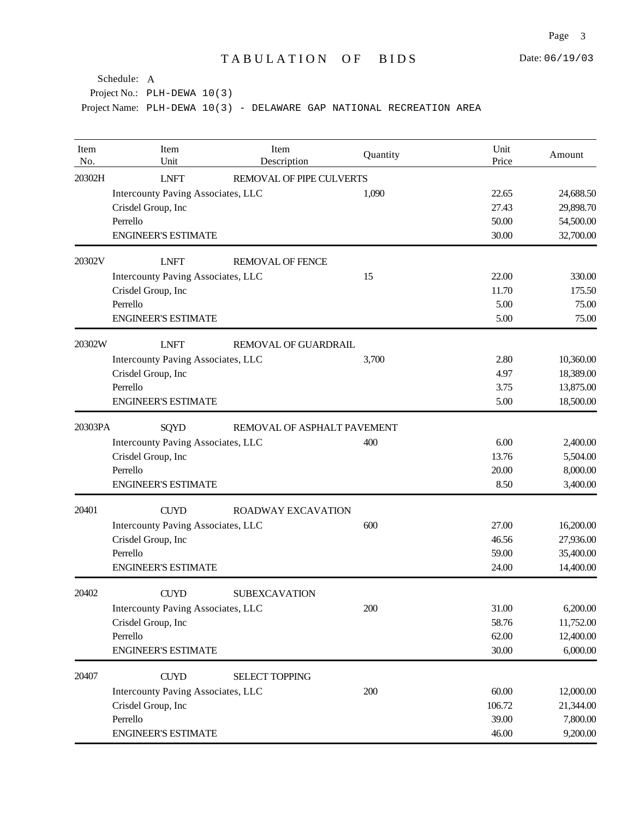| Item<br>No. | Item<br>Unit                       | Item<br>Description         | Quantity | Unit<br>Price | Amount    |
|-------------|------------------------------------|-----------------------------|----------|---------------|-----------|
| 20302H      | <b>LNFT</b>                        | REMOVAL OF PIPE CULVERTS    |          |               |           |
|             | Intercounty Paving Associates, LLC |                             | 1,090    | 22.65         | 24,688.50 |
|             | Crisdel Group, Inc                 |                             |          | 27.43         | 29,898.70 |
|             | Perrello                           |                             |          | 50.00         | 54,500.00 |
|             | <b>ENGINEER'S ESTIMATE</b>         |                             |          | 30.00         | 32,700.00 |
| 20302V      | <b>LNFT</b>                        | <b>REMOVAL OF FENCE</b>     |          |               |           |
|             | Intercounty Paving Associates, LLC |                             | 15       | 22.00         | 330.00    |
|             | Crisdel Group, Inc                 |                             |          | 11.70         | 175.50    |
|             | Perrello                           |                             |          | 5.00          | 75.00     |
|             | <b>ENGINEER'S ESTIMATE</b>         |                             |          | 5.00          | 75.00     |
| 20302W      | <b>LNFT</b>                        | <b>REMOVAL OF GUARDRAIL</b> |          |               |           |
|             | Intercounty Paving Associates, LLC |                             | 3,700    | 2.80          | 10,360.00 |
|             | Crisdel Group, Inc                 |                             |          | 4.97          | 18,389.00 |
|             | Perrello                           |                             |          | 3.75          | 13,875.00 |
|             | <b>ENGINEER'S ESTIMATE</b>         |                             |          | 5.00          | 18,500.00 |
| 20303PA     | SQYD                               | REMOVAL OF ASPHALT PAVEMENT |          |               |           |
|             | Intercounty Paving Associates, LLC |                             | 400      | 6.00          | 2,400.00  |
|             | Crisdel Group, Inc                 |                             |          | 13.76         | 5,504.00  |
|             | Perrello                           |                             |          | 20.00         | 8,000.00  |
|             | <b>ENGINEER'S ESTIMATE</b>         |                             |          | 8.50          | 3,400.00  |
| 20401       | <b>CUYD</b>                        | ROADWAY EXCAVATION          |          |               |           |
|             | Intercounty Paving Associates, LLC |                             | 600      | 27.00         | 16,200.00 |
|             | Crisdel Group, Inc                 |                             |          | 46.56         | 27,936.00 |
|             | Perrello                           |                             |          | 59.00         | 35,400.00 |
|             | <b>ENGINEER'S ESTIMATE</b>         |                             |          | 24.00         | 14,400.00 |
| 20402       | <b>CUYD</b>                        | <b>SUBEXCAVATION</b>        |          |               |           |
|             | Intercounty Paving Associates, LLC |                             | 200      | 31.00         | 6,200.00  |
|             | Crisdel Group, Inc                 |                             |          | 58.76         | 11,752.00 |
|             | Perrello                           |                             |          | 62.00         | 12,400.00 |
|             | <b>ENGINEER'S ESTIMATE</b>         |                             |          | 30.00         | 6,000.00  |
| 20407       | <b>CUYD</b>                        | <b>SELECT TOPPING</b>       |          |               |           |
|             | Intercounty Paving Associates, LLC |                             | 200      | 60.00         | 12,000.00 |
|             | Crisdel Group, Inc                 |                             |          | 106.72        | 21,344.00 |
|             | Perrello                           |                             |          | 39.00         | 7,800.00  |
|             | <b>ENGINEER'S ESTIMATE</b>         |                             |          | 46.00         | 9,200.00  |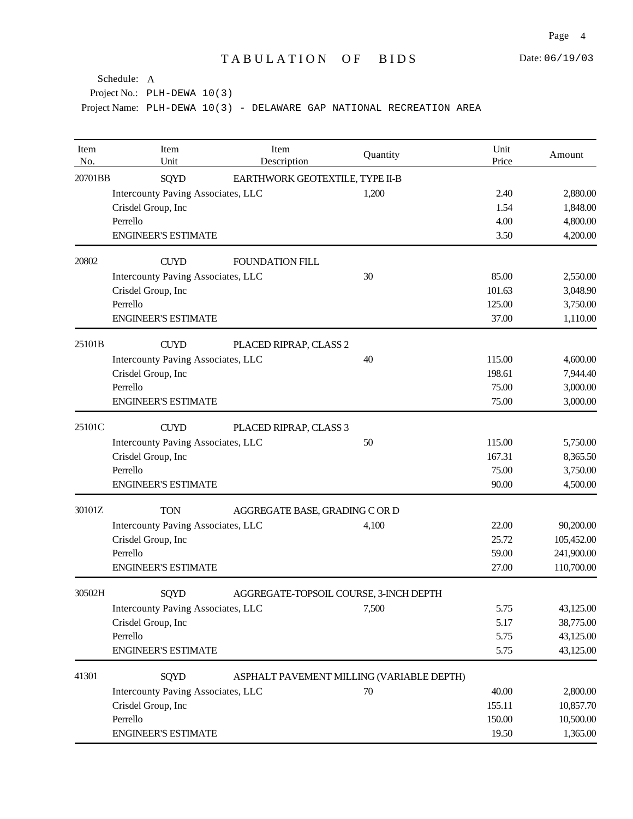| Item<br>No. | Item<br>Unit                                   | Item<br>Description             | Quantity                                  | Unit<br>Price | Amount     |  |  |
|-------------|------------------------------------------------|---------------------------------|-------------------------------------------|---------------|------------|--|--|
| 20701BB     | <b>SQYD</b>                                    | EARTHWORK GEOTEXTILE, TYPE II-B |                                           |               |            |  |  |
|             | <b>Intercounty Paving Associates, LLC</b>      |                                 | 1,200                                     | 2.40          | 2,880.00   |  |  |
|             | Crisdel Group, Inc                             |                                 |                                           | 1.54          | 1,848.00   |  |  |
|             | Perrello                                       |                                 |                                           | 4.00          | 4,800.00   |  |  |
|             | <b>ENGINEER'S ESTIMATE</b>                     |                                 |                                           | 3.50          | 4,200.00   |  |  |
| 20802       | <b>CUYD</b>                                    | <b>FOUNDATION FILL</b>          |                                           |               |            |  |  |
|             | Intercounty Paving Associates, LLC             |                                 | 30                                        | 85.00         | 2,550.00   |  |  |
|             | Crisdel Group, Inc                             |                                 |                                           | 101.63        | 3,048.90   |  |  |
|             | Perrello                                       |                                 |                                           | 125.00        | 3,750.00   |  |  |
|             | <b>ENGINEER'S ESTIMATE</b>                     |                                 |                                           | 37.00         | 1,110.00   |  |  |
| 25101B      | <b>CUYD</b>                                    | PLACED RIPRAP, CLASS 2          |                                           |               |            |  |  |
|             | <b>Intercounty Paving Associates, LLC</b>      |                                 | 40                                        | 115.00        | 4,600.00   |  |  |
|             | Crisdel Group, Inc                             |                                 |                                           | 198.61        | 7,944.40   |  |  |
|             | Perrello                                       |                                 |                                           | 75.00         | 3,000.00   |  |  |
|             | <b>ENGINEER'S ESTIMATE</b>                     |                                 |                                           | 75.00         | 3,000.00   |  |  |
| 25101C      | <b>CUYD</b>                                    | PLACED RIPRAP, CLASS 3          |                                           |               |            |  |  |
|             | Intercounty Paving Associates, LLC             |                                 | 50                                        | 115.00        | 5,750.00   |  |  |
|             | Crisdel Group, Inc                             |                                 |                                           | 167.31        | 8,365.50   |  |  |
|             | Perrello                                       |                                 |                                           | 75.00         | 3,750.00   |  |  |
|             | <b>ENGINEER'S ESTIMATE</b>                     |                                 |                                           | 90.00         | 4,500.00   |  |  |
| 30101Z      | <b>TON</b><br>AGGREGATE BASE, GRADING C OR D   |                                 |                                           |               |            |  |  |
|             | Intercounty Paving Associates, LLC             |                                 | 4,100                                     | 22.00         | 90,200.00  |  |  |
|             | Crisdel Group, Inc                             |                                 |                                           | 25.72         | 105,452.00 |  |  |
|             | Perrello                                       |                                 |                                           | 59.00         | 241,900.00 |  |  |
|             | <b>ENGINEER'S ESTIMATE</b>                     |                                 |                                           | 27.00         | 110,700.00 |  |  |
| 30502H      | SQYD<br>AGGREGATE-TOPSOIL COURSE, 3-INCH DEPTH |                                 |                                           |               |            |  |  |
|             | Intercounty Paving Associates, LLC             |                                 | 7,500                                     | 5.75          | 43,125.00  |  |  |
|             | Crisdel Group, Inc                             |                                 |                                           | 5.17          | 38,775.00  |  |  |
|             | Perrello                                       |                                 |                                           | 5.75          | 43,125.00  |  |  |
|             | <b>ENGINEER'S ESTIMATE</b>                     |                                 |                                           | 5.75          | 43,125.00  |  |  |
| 41301       | <b>SQYD</b>                                    |                                 | ASPHALT PAVEMENT MILLING (VARIABLE DEPTH) |               |            |  |  |
|             | Intercounty Paving Associates, LLC             |                                 | 70                                        | 40.00         | 2,800.00   |  |  |
|             | Crisdel Group, Inc                             |                                 |                                           | 155.11        | 10,857.70  |  |  |
|             | Perrello                                       |                                 |                                           | 150.00        | 10,500.00  |  |  |
|             | <b>ENGINEER'S ESTIMATE</b>                     |                                 |                                           | 19.50         | 1,365.00   |  |  |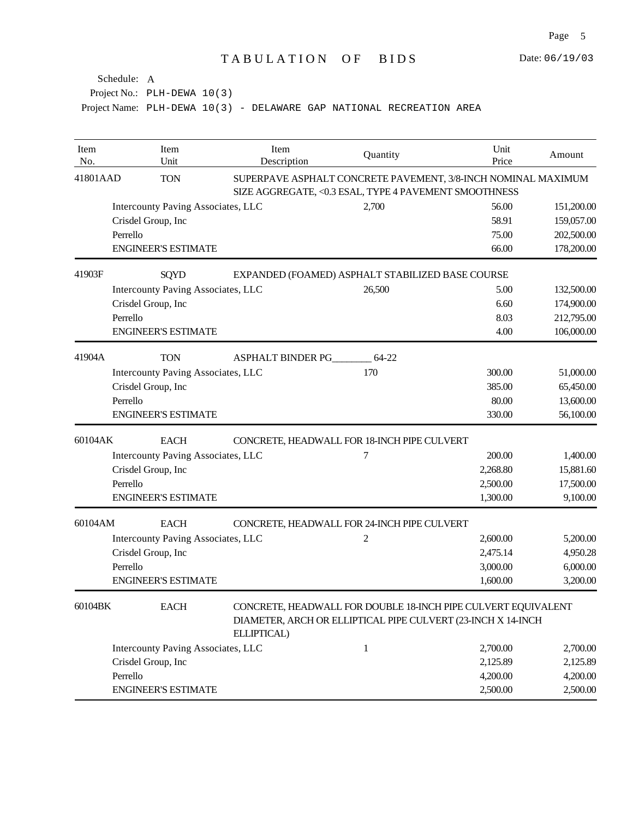| Item<br>No. | Item<br>Unit                              | Item<br>Description | Quantity                                                                                                                      | Unit<br>Price | Amount     |  |
|-------------|-------------------------------------------|---------------------|-------------------------------------------------------------------------------------------------------------------------------|---------------|------------|--|
| 41801AAD    | <b>TON</b>                                |                     | SUPERPAVE ASPHALT CONCRETE PAVEMENT, 3/8-INCH NOMINAL MAXIMUM<br>SIZE AGGREGATE, <0.3 ESAL, TYPE 4 PAVEMENT SMOOTHNESS        |               |            |  |
|             | Intercounty Paving Associates, LLC        |                     | 2,700                                                                                                                         | 56.00         | 151,200.00 |  |
|             | Crisdel Group, Inc                        |                     |                                                                                                                               | 58.91         | 159,057.00 |  |
|             | Perrello                                  |                     |                                                                                                                               | 75.00         | 202,500.00 |  |
|             | <b>ENGINEER'S ESTIMATE</b>                |                     |                                                                                                                               | 66.00         | 178,200.00 |  |
| 41903F      | SQYD                                      |                     | EXPANDED (FOAMED) ASPHALT STABILIZED BASE COURSE                                                                              |               |            |  |
|             | Intercounty Paving Associates, LLC        |                     | 26,500                                                                                                                        | 5.00          | 132,500.00 |  |
|             | Crisdel Group, Inc                        |                     |                                                                                                                               | 6.60          | 174,900.00 |  |
|             | Perrello                                  |                     |                                                                                                                               | 8.03          | 212,795.00 |  |
|             | <b>ENGINEER'S ESTIMATE</b>                |                     |                                                                                                                               | 4.00          | 106,000.00 |  |
| 41904A      | <b>TON</b>                                | ASPHALT BINDER PG   | 64-22                                                                                                                         |               |            |  |
|             | <b>Intercounty Paving Associates, LLC</b> |                     | 170                                                                                                                           | 300.00        | 51,000.00  |  |
|             | Crisdel Group, Inc                        |                     |                                                                                                                               | 385.00        | 65,450.00  |  |
|             | Perrello                                  |                     |                                                                                                                               | 80.00         | 13,600.00  |  |
|             | <b>ENGINEER'S ESTIMATE</b>                |                     |                                                                                                                               | 330.00        | 56,100.00  |  |
| 60104AK     | <b>EACH</b>                               |                     | CONCRETE, HEADWALL FOR 18-INCH PIPE CULVERT                                                                                   |               |            |  |
|             | Intercounty Paving Associates, LLC        |                     | 7                                                                                                                             | 200.00        | 1,400.00   |  |
|             | Crisdel Group, Inc                        |                     |                                                                                                                               | 2,268.80      | 15,881.60  |  |
|             | Perrello                                  |                     |                                                                                                                               | 2,500.00      | 17,500.00  |  |
|             | <b>ENGINEER'S ESTIMATE</b>                |                     |                                                                                                                               | 1,300.00      | 9,100.00   |  |
| 60104AM     | <b>EACH</b>                               |                     | CONCRETE, HEADWALL FOR 24-INCH PIPE CULVERT                                                                                   |               |            |  |
|             | Intercounty Paving Associates, LLC        |                     | 2                                                                                                                             | 2,600.00      | 5,200.00   |  |
|             | Crisdel Group, Inc                        |                     |                                                                                                                               | 2,475.14      | 4,950.28   |  |
|             | Perrello                                  |                     |                                                                                                                               | 3,000.00      | 6,000.00   |  |
|             | <b>ENGINEER'S ESTIMATE</b>                |                     |                                                                                                                               | 1,600.00      | 3,200.00   |  |
| 60104BK     | <b>EACH</b>                               | ELLIPTICAL)         | CONCRETE, HEADWALL FOR DOUBLE 18-INCH PIPE CULVERT EQUIVALENT<br>DIAMETER, ARCH OR ELLIPTICAL PIPE CULVERT (23-INCH X 14-INCH |               |            |  |
|             | Intercounty Paving Associates, LLC        |                     | $\mathbf{1}$                                                                                                                  | 2,700.00      | 2,700.00   |  |
|             | Crisdel Group, Inc                        |                     |                                                                                                                               | 2,125.89      | 2,125.89   |  |
|             | Perrello                                  |                     |                                                                                                                               | 4,200.00      | 4,200.00   |  |
|             | <b>ENGINEER'S ESTIMATE</b>                |                     |                                                                                                                               | 2,500.00      | 2,500.00   |  |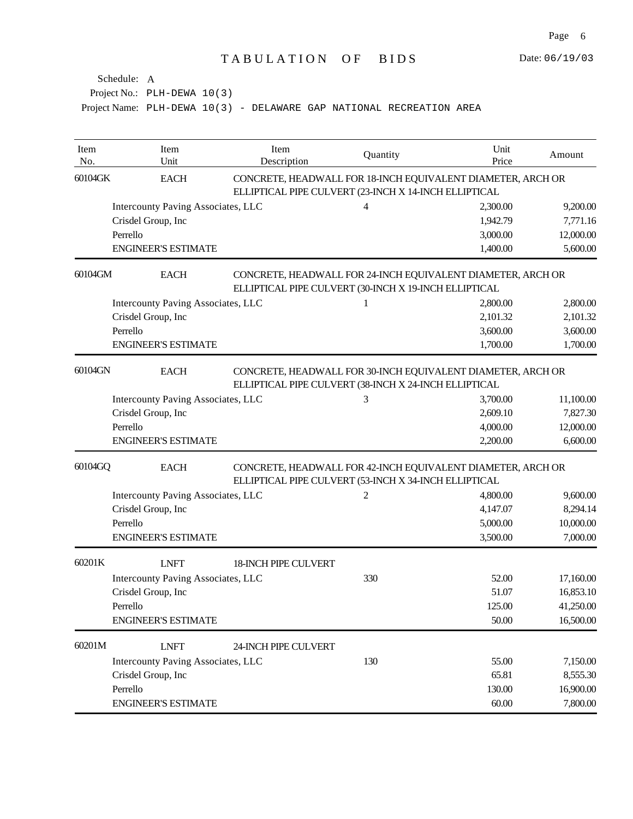| Item<br>No. | Item<br>Unit                                                                                                                        | Item<br>Description                                                                                                  | Quantity                                                                                                             | Unit<br>Price | Amount    |  |  |
|-------------|-------------------------------------------------------------------------------------------------------------------------------------|----------------------------------------------------------------------------------------------------------------------|----------------------------------------------------------------------------------------------------------------------|---------------|-----------|--|--|
| 60104GK     | <b>EACH</b>                                                                                                                         | CONCRETE, HEADWALL FOR 18-INCH EQUIVALENT DIAMETER, ARCH OR<br>ELLIPTICAL PIPE CULVERT (23-INCH X 14-INCH ELLIPTICAL |                                                                                                                      |               |           |  |  |
|             | Intercounty Paving Associates, LLC                                                                                                  |                                                                                                                      | 4                                                                                                                    | 2,300.00      | 9,200.00  |  |  |
|             | Crisdel Group, Inc                                                                                                                  |                                                                                                                      |                                                                                                                      | 1,942.79      | 7,771.16  |  |  |
|             | Perrello                                                                                                                            |                                                                                                                      |                                                                                                                      | 3,000.00      | 12,000.00 |  |  |
|             | <b>ENGINEER'S ESTIMATE</b>                                                                                                          |                                                                                                                      |                                                                                                                      | 1,400.00      | 5,600.00  |  |  |
| 60104GM     | <b>EACH</b>                                                                                                                         |                                                                                                                      | CONCRETE, HEADWALL FOR 24-INCH EQUIVALENT DIAMETER, ARCH OR<br>ELLIPTICAL PIPE CULVERT (30-INCH X 19-INCH ELLIPTICAL |               |           |  |  |
|             | Intercounty Paving Associates, LLC                                                                                                  |                                                                                                                      | 1                                                                                                                    | 2,800.00      | 2,800.00  |  |  |
|             | Crisdel Group, Inc                                                                                                                  |                                                                                                                      |                                                                                                                      | 2,101.32      | 2,101.32  |  |  |
|             | Perrello                                                                                                                            |                                                                                                                      |                                                                                                                      | 3,600.00      | 3,600.00  |  |  |
|             | <b>ENGINEER'S ESTIMATE</b>                                                                                                          |                                                                                                                      |                                                                                                                      | 1,700.00      | 1,700.00  |  |  |
| 60104GN     | <b>EACH</b><br>CONCRETE, HEADWALL FOR 30-INCH EQUIVALENT DIAMETER, ARCH OR<br>ELLIPTICAL PIPE CULVERT (38-INCH X 24-INCH ELLIPTICAL |                                                                                                                      |                                                                                                                      |               |           |  |  |
|             | Intercounty Paving Associates, LLC                                                                                                  |                                                                                                                      | 3                                                                                                                    | 3,700.00      | 11,100.00 |  |  |
|             | Crisdel Group, Inc                                                                                                                  |                                                                                                                      |                                                                                                                      | 2,609.10      | 7,827.30  |  |  |
|             | Perrello                                                                                                                            |                                                                                                                      |                                                                                                                      | 4,000.00      | 12,000.00 |  |  |
|             | <b>ENGINEER'S ESTIMATE</b>                                                                                                          |                                                                                                                      |                                                                                                                      | 2,200.00      | 6,600.00  |  |  |
| 60104GQ     | <b>EACH</b><br>CONCRETE, HEADWALL FOR 42-INCH EQUIVALENT DIAMETER, ARCH OR<br>ELLIPTICAL PIPE CULVERT (53-INCH X 34-INCH ELLIPTICAL |                                                                                                                      |                                                                                                                      |               |           |  |  |
|             | Intercounty Paving Associates, LLC                                                                                                  |                                                                                                                      | 2                                                                                                                    | 4,800.00      | 9,600.00  |  |  |
|             | Crisdel Group, Inc                                                                                                                  |                                                                                                                      |                                                                                                                      | 4,147.07      | 8,294.14  |  |  |
|             | Perrello                                                                                                                            |                                                                                                                      |                                                                                                                      | 5,000.00      | 10,000.00 |  |  |
|             | <b>ENGINEER'S ESTIMATE</b>                                                                                                          |                                                                                                                      |                                                                                                                      | 3,500.00      | 7,000.00  |  |  |
| 60201K      | <b>LNFT</b>                                                                                                                         | <b>18-INCH PIPE CULVERT</b>                                                                                          |                                                                                                                      |               |           |  |  |
|             | Intercounty Paving Associates, LLC                                                                                                  |                                                                                                                      | 330                                                                                                                  | 52.00         | 17,160.00 |  |  |
|             | Crisdel Group, Inc                                                                                                                  |                                                                                                                      |                                                                                                                      | 51.07         | 16,853.10 |  |  |
|             | Perrello                                                                                                                            |                                                                                                                      |                                                                                                                      | 125.00        | 41,250.00 |  |  |
|             | <b>ENGINEER'S ESTIMATE</b>                                                                                                          |                                                                                                                      |                                                                                                                      | 50.00         | 16,500.00 |  |  |
| 60201M      | <b>LNFT</b>                                                                                                                         | 24-INCH PIPE CULVERT                                                                                                 |                                                                                                                      |               |           |  |  |
|             | Intercounty Paving Associates, LLC                                                                                                  |                                                                                                                      | 130                                                                                                                  | 55.00         | 7,150.00  |  |  |
|             | Crisdel Group, Inc                                                                                                                  |                                                                                                                      |                                                                                                                      | 65.81         | 8,555.30  |  |  |
|             | Perrello                                                                                                                            |                                                                                                                      |                                                                                                                      | 130.00        | 16,900.00 |  |  |
|             | <b>ENGINEER'S ESTIMATE</b>                                                                                                          |                                                                                                                      |                                                                                                                      | 60.00         | 7,800.00  |  |  |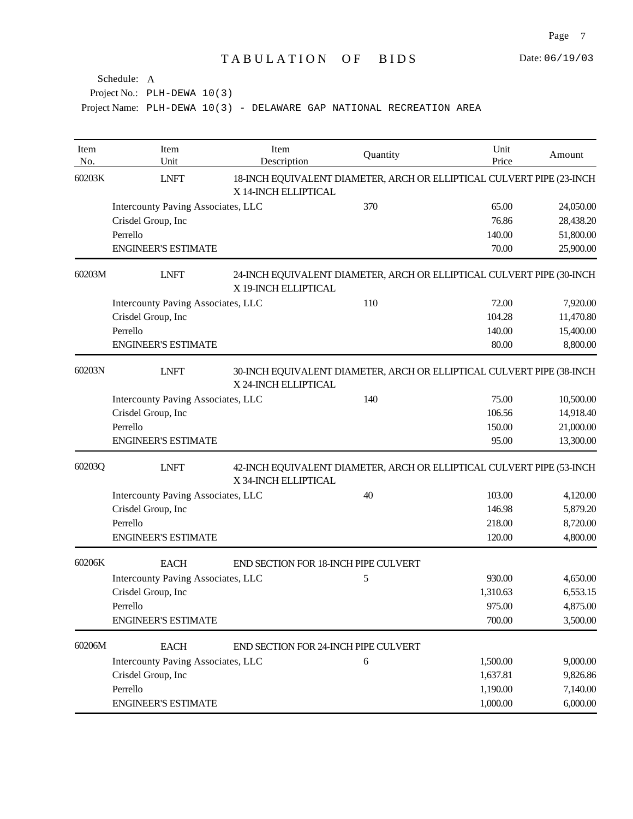| Item<br>No. | Item<br>Unit                              | Item<br>Description                  | Quantity                                                              | Unit<br>Price | Amount    |
|-------------|-------------------------------------------|--------------------------------------|-----------------------------------------------------------------------|---------------|-----------|
| 60203K      | <b>LNFT</b>                               | X 14-INCH ELLIPTICAL                 | 18-INCH EQUIVALENT DIAMETER, ARCH OR ELLIPTICAL CULVERT PIPE (23-INCH |               |           |
|             | Intercounty Paving Associates, LLC        |                                      | 370                                                                   | 65.00         | 24,050.00 |
|             | Crisdel Group, Inc                        |                                      |                                                                       | 76.86         | 28,438.20 |
|             | Perrello                                  |                                      |                                                                       | 140.00        | 51,800.00 |
|             | <b>ENGINEER'S ESTIMATE</b>                |                                      |                                                                       | 70.00         | 25,900.00 |
| 60203M      | <b>LNFT</b>                               | X 19-INCH ELLIPTICAL                 | 24-INCH EQUIVALENT DIAMETER, ARCH OR ELLIPTICAL CULVERT PIPE (30-INCH |               |           |
|             | Intercounty Paving Associates, LLC        |                                      | 110                                                                   | 72.00         | 7,920.00  |
|             | Crisdel Group, Inc                        |                                      |                                                                       | 104.28        | 11,470.80 |
|             | Perrello                                  |                                      |                                                                       | 140.00        | 15,400.00 |
|             | <b>ENGINEER'S ESTIMATE</b>                |                                      |                                                                       | 80.00         | 8,800.00  |
| 60203N      | <b>LNFT</b>                               | X 24-INCH ELLIPTICAL                 | 30-INCH EQUIVALENT DIAMETER, ARCH OR ELLIPTICAL CULVERT PIPE (38-INCH |               |           |
|             | Intercounty Paving Associates, LLC        |                                      | 140                                                                   | 75.00         | 10,500.00 |
|             | Crisdel Group, Inc                        |                                      |                                                                       | 106.56        | 14,918.40 |
|             | Perrello                                  |                                      |                                                                       | 150.00        | 21,000.00 |
|             | <b>ENGINEER'S ESTIMATE</b>                |                                      |                                                                       | 95.00         | 13,300.00 |
| 60203Q      | <b>LNFT</b>                               | X 34-INCH ELLIPTICAL                 | 42-INCH EQUIVALENT DIAMETER, ARCH OR ELLIPTICAL CULVERT PIPE (53-INCH |               |           |
|             | Intercounty Paving Associates, LLC        |                                      | 40                                                                    | 103.00        | 4,120.00  |
|             | Crisdel Group, Inc                        |                                      |                                                                       | 146.98        | 5,879.20  |
|             | Perrello                                  |                                      |                                                                       | 218.00        | 8,720.00  |
|             | <b>ENGINEER'S ESTIMATE</b>                |                                      |                                                                       | 120.00        | 4,800.00  |
| 60206K      | <b>EACH</b>                               | END SECTION FOR 18-INCH PIPE CULVERT |                                                                       |               |           |
|             | <b>Intercounty Paving Associates, LLC</b> |                                      | 5                                                                     | 930.00        | 4,650.00  |
|             | Crisdel Group, Inc                        |                                      |                                                                       | 1,310.63      | 6,553.15  |
|             | Perrello                                  |                                      |                                                                       | 975.00        | 4,875.00  |
|             | <b>ENGINEER'S ESTIMATE</b>                |                                      |                                                                       | 700.00        | 3,500.00  |
| 60206M      | <b>EACH</b>                               | END SECTION FOR 24-INCH PIPE CULVERT |                                                                       |               |           |
|             | Intercounty Paving Associates, LLC        |                                      | 6                                                                     | 1,500.00      | 9,000.00  |
|             | Crisdel Group, Inc                        |                                      |                                                                       | 1,637.81      | 9,826.86  |
|             | Perrello                                  |                                      |                                                                       | 1,190.00      | 7,140.00  |
|             | <b>ENGINEER'S ESTIMATE</b>                |                                      |                                                                       | 1,000.00      | 6,000.00  |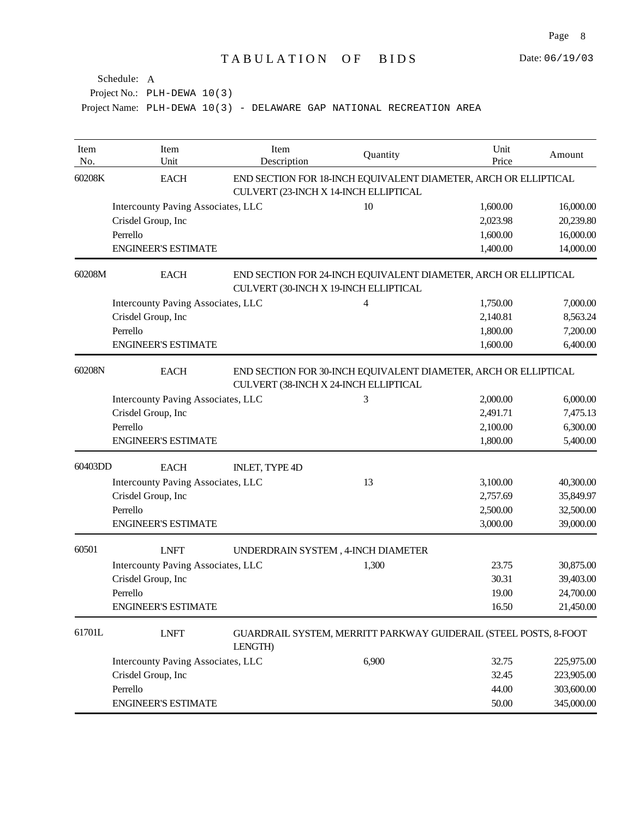| Item<br>No. | Item<br>Unit                                                                                                            | Item<br>Description   | Quantity                                                                                                 | Unit<br>Price | Amount     |
|-------------|-------------------------------------------------------------------------------------------------------------------------|-----------------------|----------------------------------------------------------------------------------------------------------|---------------|------------|
| 60208K      | <b>EACH</b>                                                                                                             |                       | END SECTION FOR 18-INCH EQUIVALENT DIAMETER, ARCH OR ELLIPTICAL<br>CULVERT (23-INCH X 14-INCH ELLIPTICAL |               |            |
|             | <b>Intercounty Paving Associates, LLC</b>                                                                               |                       | 10                                                                                                       | 1,600.00      | 16,000.00  |
|             | Crisdel Group, Inc                                                                                                      |                       |                                                                                                          | 2,023.98      | 20,239.80  |
|             | Perrello                                                                                                                |                       |                                                                                                          | 1,600.00      | 16,000.00  |
|             | <b>ENGINEER'S ESTIMATE</b>                                                                                              |                       |                                                                                                          | 1,400.00      | 14,000.00  |
| 60208M      | <b>EACH</b>                                                                                                             |                       | END SECTION FOR 24-INCH EQUIVALENT DIAMETER, ARCH OR ELLIPTICAL<br>CULVERT (30-INCH X 19-INCH ELLIPTICAL |               |            |
|             | <b>Intercounty Paving Associates, LLC</b>                                                                               |                       | 4                                                                                                        | 1,750.00      | 7,000.00   |
|             | Crisdel Group, Inc                                                                                                      |                       |                                                                                                          | 2,140.81      | 8,563.24   |
|             | Perrello                                                                                                                |                       |                                                                                                          | 1,800.00      | 7,200.00   |
|             | <b>ENGINEER'S ESTIMATE</b>                                                                                              |                       |                                                                                                          | 1,600.00      | 6,400.00   |
| 60208N      | <b>EACH</b><br>END SECTION FOR 30-INCH EQUIVALENT DIAMETER, ARCH OR ELLIPTICAL<br>CULVERT (38-INCH X 24-INCH ELLIPTICAL |                       |                                                                                                          |               |            |
|             | Intercounty Paving Associates, LLC                                                                                      |                       | 3                                                                                                        | 2,000.00      | 6,000.00   |
|             | Crisdel Group, Inc                                                                                                      |                       |                                                                                                          | 2,491.71      | 7,475.13   |
|             | Perrello                                                                                                                |                       |                                                                                                          | 2,100.00      | 6,300.00   |
|             | <b>ENGINEER'S ESTIMATE</b>                                                                                              |                       |                                                                                                          | 1,800.00      | 5,400.00   |
| 60403DD     | <b>EACH</b>                                                                                                             | <b>INLET, TYPE 4D</b> |                                                                                                          |               |            |
|             | <b>Intercounty Paving Associates, LLC</b>                                                                               |                       | 13                                                                                                       | 3,100.00      | 40,300.00  |
|             | Crisdel Group, Inc                                                                                                      |                       |                                                                                                          | 2,757.69      | 35,849.97  |
|             | Perrello                                                                                                                |                       |                                                                                                          | 2,500.00      | 32,500.00  |
|             | <b>ENGINEER'S ESTIMATE</b>                                                                                              |                       |                                                                                                          | 3,000.00      | 39,000.00  |
| 60501       | <b>LNFT</b>                                                                                                             |                       | UNDERDRAIN SYSTEM, 4-INCH DIAMETER                                                                       |               |            |
|             | <b>Intercounty Paving Associates, LLC</b>                                                                               |                       | 1,300                                                                                                    | 23.75         | 30,875.00  |
|             | Crisdel Group, Inc                                                                                                      |                       |                                                                                                          | 30.31         | 39,403.00  |
|             | Perrello                                                                                                                |                       |                                                                                                          | 19.00         | 24,700.00  |
|             | <b>ENGINEER'S ESTIMATE</b>                                                                                              |                       |                                                                                                          | 16.50         | 21,450.00  |
| 61701L      | <b>LNFT</b>                                                                                                             | LENGTH)               | GUARDRAIL SYSTEM, MERRITT PARKWAY GUIDERAIL (STEEL POSTS, 8-FOOT                                         |               |            |
|             | <b>Intercounty Paving Associates, LLC</b>                                                                               |                       | 6,900                                                                                                    | 32.75         | 225,975.00 |
|             | Crisdel Group, Inc                                                                                                      |                       |                                                                                                          | 32.45         | 223,905.00 |
|             | Perrello                                                                                                                |                       |                                                                                                          | 44.00         | 303,600.00 |
|             | <b>ENGINEER'S ESTIMATE</b>                                                                                              |                       |                                                                                                          | 50.00         | 345,000.00 |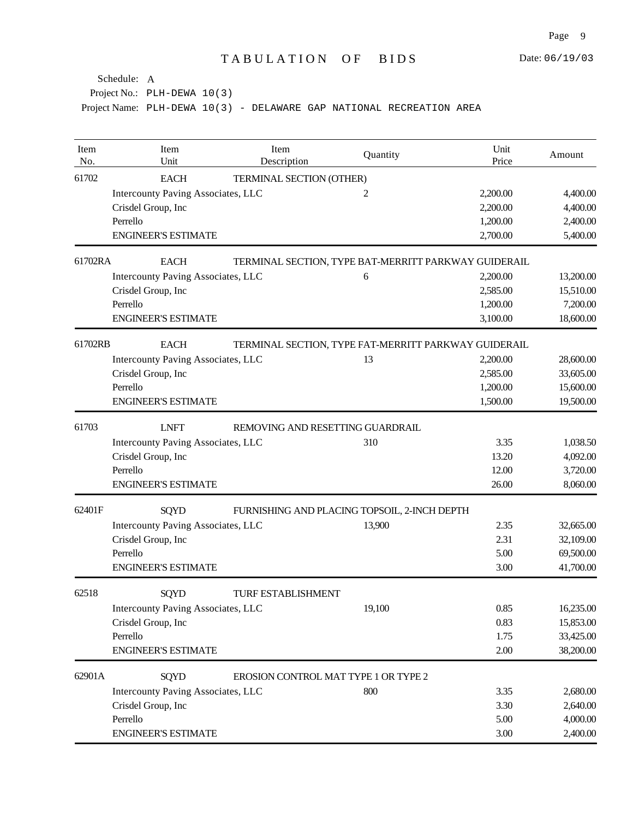| Item<br>No. | Item<br>Unit                                    | Item<br>Description                  | Quantity                                             | Unit<br>Price | Amount    |  |
|-------------|-------------------------------------------------|--------------------------------------|------------------------------------------------------|---------------|-----------|--|
| 61702       | <b>EACH</b>                                     | TERMINAL SECTION (OTHER)             |                                                      |               |           |  |
|             | Intercounty Paving Associates, LLC              |                                      | 2                                                    | 2,200.00      | 4,400.00  |  |
|             | Crisdel Group, Inc                              |                                      |                                                      | 2,200.00      | 4,400.00  |  |
|             | Perrello                                        |                                      |                                                      | 1,200.00      | 2,400.00  |  |
|             | <b>ENGINEER'S ESTIMATE</b>                      |                                      |                                                      | 2,700.00      | 5,400.00  |  |
| 61702RA     | <b>EACH</b>                                     |                                      | TERMINAL SECTION, TYPE BAT-MERRITT PARKWAY GUIDERAIL |               |           |  |
|             | Intercounty Paving Associates, LLC              |                                      | 6                                                    | 2,200.00      | 13,200.00 |  |
|             | Crisdel Group, Inc                              |                                      |                                                      | 2,585.00      | 15,510.00 |  |
|             | Perrello                                        |                                      |                                                      | 1,200.00      | 7,200.00  |  |
|             | <b>ENGINEER'S ESTIMATE</b>                      |                                      |                                                      | 3,100.00      | 18,600.00 |  |
| 61702RB     | <b>EACH</b>                                     |                                      | TERMINAL SECTION, TYPE FAT-MERRITT PARKWAY GUIDERAIL |               |           |  |
|             | Intercounty Paving Associates, LLC              |                                      | 13                                                   | 2,200.00      | 28,600.00 |  |
|             | Crisdel Group, Inc                              |                                      |                                                      | 2,585.00      | 33,605.00 |  |
|             | Perrello                                        |                                      |                                                      | 1,200.00      | 15,600.00 |  |
|             | <b>ENGINEER'S ESTIMATE</b>                      |                                      |                                                      | 1,500.00      | 19,500.00 |  |
| 61703       | <b>LNFT</b><br>REMOVING AND RESETTING GUARDRAIL |                                      |                                                      |               |           |  |
|             | Intercounty Paving Associates, LLC              |                                      | 310                                                  | 3.35          | 1,038.50  |  |
|             | Crisdel Group, Inc                              |                                      |                                                      | 13.20         | 4,092.00  |  |
|             | Perrello                                        |                                      |                                                      | 12.00         | 3,720.00  |  |
|             | <b>ENGINEER'S ESTIMATE</b>                      |                                      |                                                      | 26.00         | 8,060.00  |  |
| 62401F      | SQYD                                            |                                      | FURNISHING AND PLACING TOPSOIL, 2-INCH DEPTH         |               |           |  |
|             | Intercounty Paving Associates, LLC              |                                      | 13,900                                               | 2.35          | 32,665.00 |  |
|             | Crisdel Group, Inc                              |                                      |                                                      | 2.31          | 32,109.00 |  |
|             | Perrello                                        |                                      |                                                      | 5.00          | 69,500.00 |  |
|             | <b>ENGINEER'S ESTIMATE</b>                      |                                      |                                                      | 3.00          | 41,700.00 |  |
| 62518       | <b>SQYD</b>                                     | <b>TURF ESTABLISHMENT</b>            |                                                      |               |           |  |
|             | Intercounty Paving Associates, LLC              |                                      | 19,100                                               | 0.85          | 16,235.00 |  |
|             | Crisdel Group, Inc                              |                                      |                                                      | 0.83          | 15,853.00 |  |
|             | Perrello                                        |                                      |                                                      | 1.75          | 33,425.00 |  |
|             | <b>ENGINEER'S ESTIMATE</b>                      |                                      |                                                      | 2.00          | 38,200.00 |  |
| 62901A      | <b>SQYD</b>                                     | EROSION CONTROL MAT TYPE 1 OR TYPE 2 |                                                      |               |           |  |
|             | Intercounty Paving Associates, LLC              |                                      | 800                                                  | 3.35          | 2,680.00  |  |
|             | Crisdel Group, Inc                              |                                      |                                                      | 3.30          | 2,640.00  |  |
|             | Perrello                                        |                                      |                                                      | 5.00          | 4,000.00  |  |
|             | <b>ENGINEER'S ESTIMATE</b>                      |                                      |                                                      | 3.00          | 2,400.00  |  |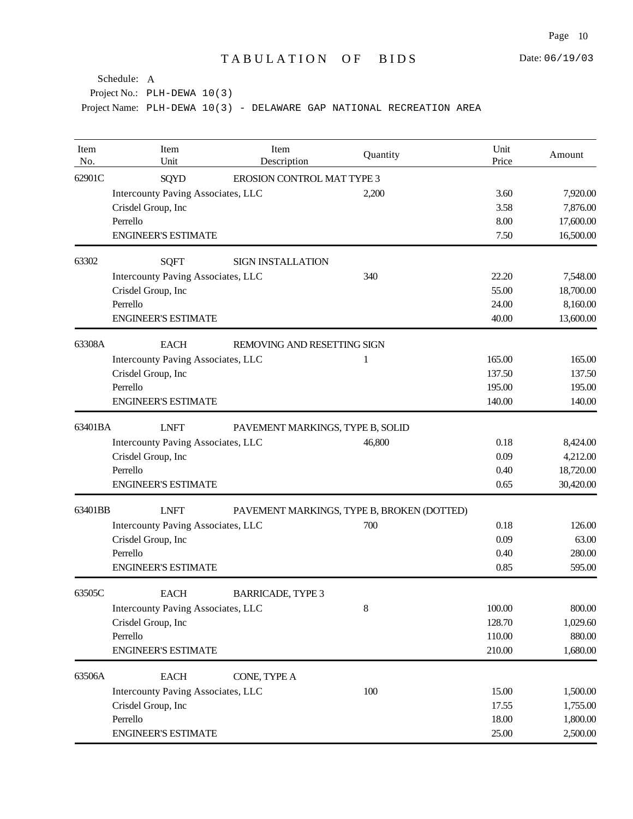| Item<br>No. | Item<br>Unit                              | Item<br>Description                        | Quantity | Unit<br>Price | Amount    |
|-------------|-------------------------------------------|--------------------------------------------|----------|---------------|-----------|
| 62901C      | <b>SQYD</b>                               | EROSION CONTROL MAT TYPE 3                 |          |               |           |
|             | Intercounty Paving Associates, LLC        |                                            | 2,200    | 3.60          | 7,920.00  |
|             | Crisdel Group, Inc                        |                                            |          | 3.58          | 7,876.00  |
|             | Perrello                                  |                                            |          | 8.00          | 17,600.00 |
|             | <b>ENGINEER'S ESTIMATE</b>                |                                            |          | 7.50          | 16,500.00 |
| 63302       | <b>SQFT</b>                               | <b>SIGN INSTALLATION</b>                   |          |               |           |
|             | Intercounty Paving Associates, LLC        |                                            | 340      | 22.20         | 7,548.00  |
|             | Crisdel Group, Inc                        |                                            |          | 55.00         | 18,700.00 |
|             | Perrello                                  |                                            |          | 24.00         | 8,160.00  |
|             | <b>ENGINEER'S ESTIMATE</b>                |                                            |          | 40.00         | 13,600.00 |
| 63308A      | <b>EACH</b>                               | REMOVING AND RESETTING SIGN                |          |               |           |
|             | <b>Intercounty Paving Associates, LLC</b> |                                            | 1        | 165.00        | 165.00    |
|             | Crisdel Group, Inc                        |                                            |          | 137.50        | 137.50    |
|             | Perrello                                  |                                            |          | 195.00        | 195.00    |
|             | <b>ENGINEER'S ESTIMATE</b>                |                                            |          | 140.00        | 140.00    |
| 63401BA     | <b>LNFT</b>                               | PAVEMENT MARKINGS, TYPE B, SOLID           |          |               |           |
|             | Intercounty Paving Associates, LLC        |                                            | 46,800   | 0.18          | 8,424.00  |
|             | Crisdel Group, Inc                        |                                            |          | 0.09          | 4,212.00  |
|             | Perrello                                  |                                            |          | 0.40          | 18,720.00 |
|             | <b>ENGINEER'S ESTIMATE</b>                |                                            |          | 0.65          | 30,420.00 |
| 63401BB     | <b>LNFT</b>                               | PAVEMENT MARKINGS, TYPE B, BROKEN (DOTTED) |          |               |           |
|             | Intercounty Paving Associates, LLC        |                                            | 700      | 0.18          | 126.00    |
|             | Crisdel Group, Inc                        |                                            |          | 0.09          | 63.00     |
|             | Perrello                                  |                                            |          | 0.40          | 280.00    |
|             | <b>ENGINEER'S ESTIMATE</b>                |                                            |          | 0.85          | 595.00    |
| 63505C      | <b>EACH</b>                               | <b>BARRICADE, TYPE 3</b>                   |          |               |           |
|             | Intercounty Paving Associates, LLC        |                                            | $8\,$    | 100.00        | 800.00    |
|             | Crisdel Group, Inc                        |                                            |          | 128.70        | 1,029.60  |
|             | Perrello                                  |                                            |          | 110.00        | 880.00    |
|             | <b>ENGINEER'S ESTIMATE</b>                |                                            |          | 210.00        | 1,680.00  |
| 63506A      | <b>EACH</b>                               | CONE, TYPE A                               |          |               |           |
|             | Intercounty Paving Associates, LLC        |                                            | 100      | 15.00         | 1,500.00  |
|             | Crisdel Group, Inc                        |                                            |          | 17.55         | 1,755.00  |
|             | Perrello                                  |                                            |          | 18.00         | 1,800.00  |
|             | <b>ENGINEER'S ESTIMATE</b>                |                                            |          | 25.00         | 2,500.00  |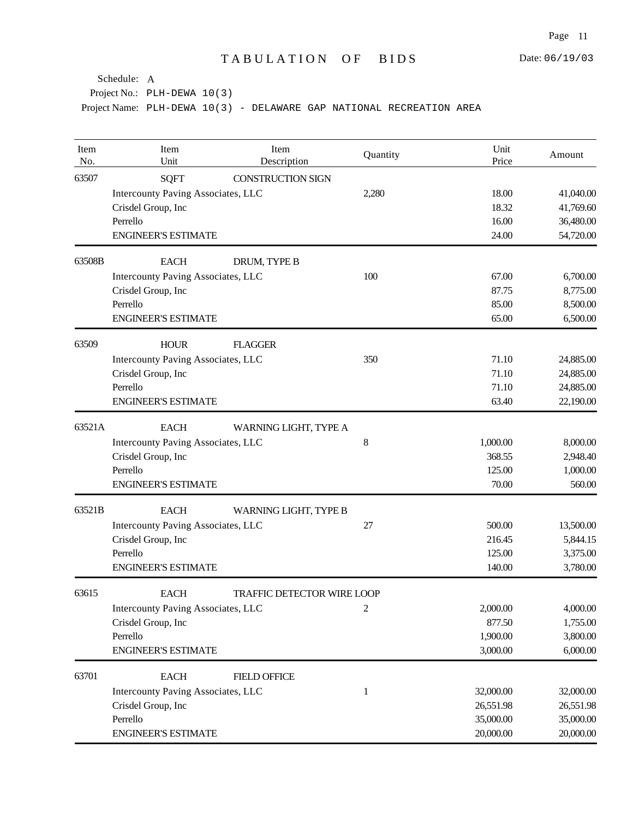| Item<br>No. | Item<br>Unit                                     | Item<br>Description      | Quantity     | Unit<br>Price | Amount    |  |  |
|-------------|--------------------------------------------------|--------------------------|--------------|---------------|-----------|--|--|
| 63507       | <b>SQFT</b>                                      | <b>CONSTRUCTION SIGN</b> |              |               |           |  |  |
|             | Intercounty Paving Associates, LLC               |                          | 2,280        | 18.00         | 41,040.00 |  |  |
|             | Crisdel Group, Inc                               |                          |              | 18.32         | 41,769.60 |  |  |
|             | Perrello                                         |                          |              | 16.00         | 36,480.00 |  |  |
|             | <b>ENGINEER'S ESTIMATE</b>                       |                          |              | 24.00         | 54,720.00 |  |  |
| 63508B      | <b>EACH</b>                                      | DRUM, TYPE B             |              |               |           |  |  |
|             | Intercounty Paving Associates, LLC               |                          | 100          | 67.00         | 6,700.00  |  |  |
|             | Crisdel Group, Inc                               |                          |              | 87.75         | 8,775.00  |  |  |
|             | Perrello                                         |                          |              | 85.00         | 8,500.00  |  |  |
|             | <b>ENGINEER'S ESTIMATE</b>                       |                          |              | 65.00         | 6,500.00  |  |  |
| 63509       | <b>HOUR</b>                                      | <b>FLAGGER</b>           |              |               |           |  |  |
|             | Intercounty Paving Associates, LLC               |                          | 350          | 71.10         | 24,885.00 |  |  |
|             | Crisdel Group, Inc                               |                          |              | 71.10         | 24,885.00 |  |  |
|             | Perrello                                         |                          |              | 71.10         | 24,885.00 |  |  |
|             | <b>ENGINEER'S ESTIMATE</b>                       |                          |              | 63.40         | 22,190.00 |  |  |
| 63521A      | <b>EACH</b>                                      | WARNING LIGHT, TYPE A    |              |               |           |  |  |
|             | <b>Intercounty Paving Associates, LLC</b>        |                          | 8            | 1,000.00      | 8,000.00  |  |  |
|             | Crisdel Group, Inc                               |                          |              | 368.55        | 2,948.40  |  |  |
|             | Perrello                                         |                          |              | 125.00        | 1,000.00  |  |  |
|             | <b>ENGINEER'S ESTIMATE</b>                       |                          |              | 70.00         | 560.00    |  |  |
| 63521B      | <b>EACH</b>                                      | WARNING LIGHT, TYPE B    |              |               |           |  |  |
|             | Intercounty Paving Associates, LLC               |                          | 27           | 500.00        | 13,500.00 |  |  |
|             | Crisdel Group, Inc                               |                          |              | 216.45        | 5,844.15  |  |  |
|             | Perrello                                         |                          |              | 125.00        | 3,375.00  |  |  |
|             | <b>ENGINEER'S ESTIMATE</b>                       |                          |              | 140.00        | 3,780.00  |  |  |
| 63615       | <b>EACH</b><br><b>TRAFFIC DETECTOR WIRE LOOP</b> |                          |              |               |           |  |  |
|             | <b>Intercounty Paving Associates, LLC</b>        |                          | $\sqrt{2}$   | 2,000.00      | 4,000.00  |  |  |
|             | Crisdel Group, Inc                               |                          |              | 877.50        | 1,755.00  |  |  |
|             | Perrello                                         |                          |              | 1,900.00      | 3,800.00  |  |  |
|             | <b>ENGINEER'S ESTIMATE</b>                       |                          |              | 3,000.00      | 6,000.00  |  |  |
| 63701       | <b>EACH</b>                                      | <b>FIELD OFFICE</b>      |              |               |           |  |  |
|             | Intercounty Paving Associates, LLC               |                          | $\mathbf{1}$ | 32,000.00     | 32,000.00 |  |  |
|             | Crisdel Group, Inc                               |                          |              | 26,551.98     | 26,551.98 |  |  |
|             | Perrello                                         |                          |              | 35,000.00     | 35,000.00 |  |  |
|             | <b>ENGINEER'S ESTIMATE</b>                       |                          |              | 20,000.00     | 20,000.00 |  |  |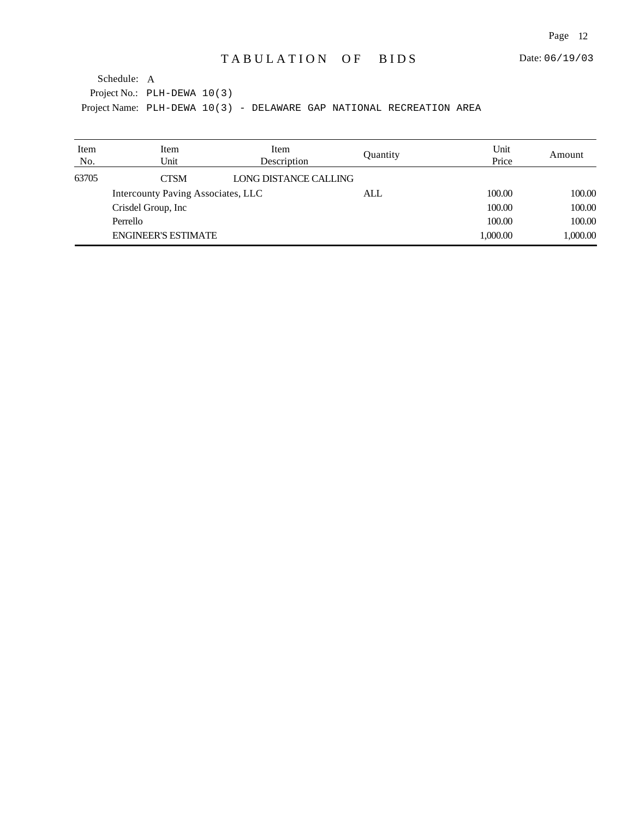| Item<br>No. | Item<br>Unit                       | Item<br>Description   | Quantity | Unit<br>Price | Amount   |
|-------------|------------------------------------|-----------------------|----------|---------------|----------|
| 63705       | <b>CTSM</b>                        | LONG DISTANCE CALLING |          |               |          |
|             | Intercounty Paving Associates, LLC |                       | ALL      | 100.00        | 100.00   |
|             | Crisdel Group, Inc.                |                       |          | 100.00        | 100.00   |
|             | Perrello                           |                       |          | 100.00        | 100.00   |
|             | <b>ENGINEER'S ESTIMATE</b>         |                       |          | 1,000.00      | 1,000.00 |